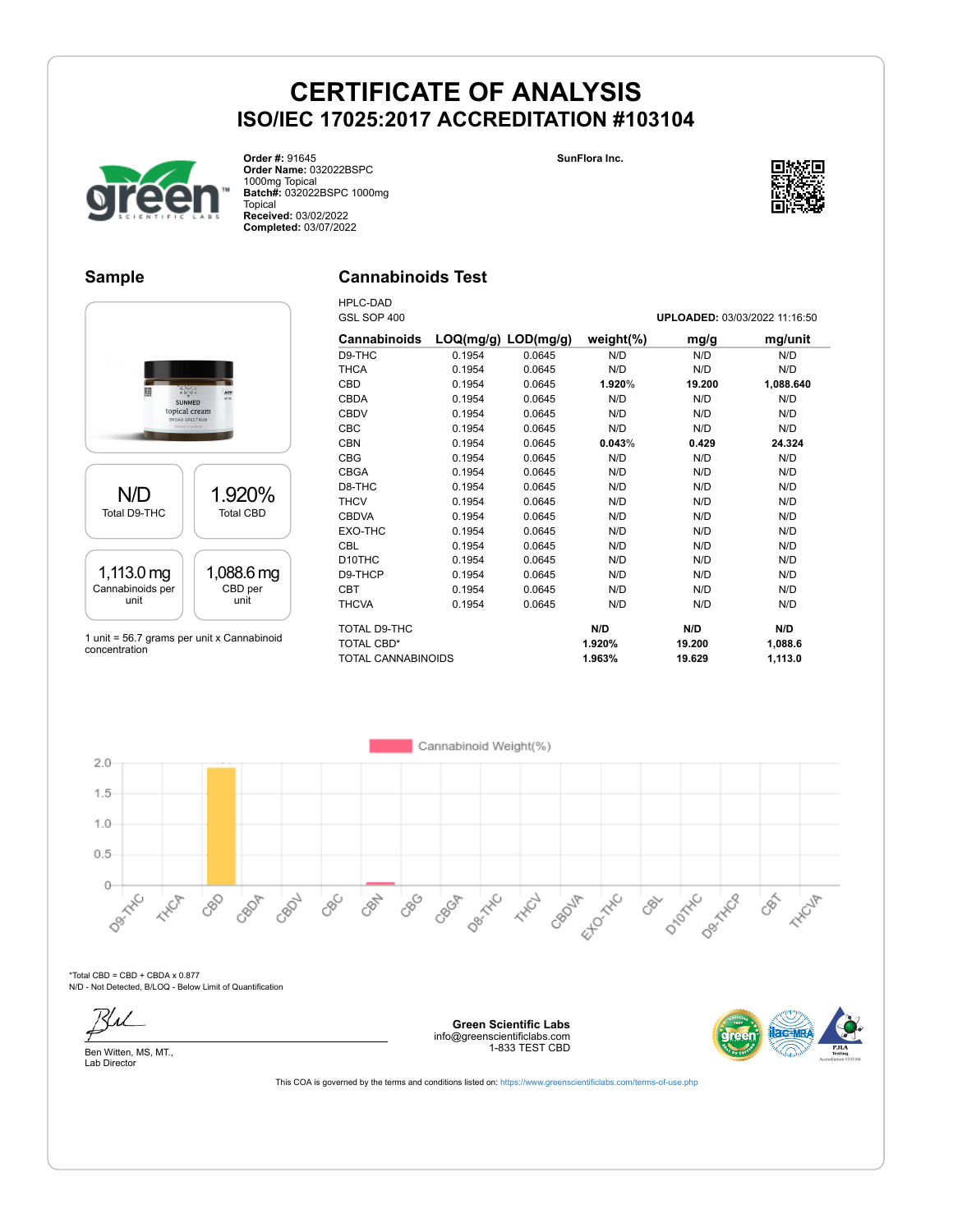



**Order #:** 91645 **Order Name:** 032022BSPC 1000mg Topical **Batch#:** 032022BSPC 1000mg Topical **Received:** 03/02/2022 **Completed:** 03/07/2022

#### **Sample**

### **Cannabinoids Test**



1 unit = 56.7 grams per unit x Cannabinoid concentration

| <b>HPLC-DAD</b><br>GSL SOP 400 |                         |        |               | UPLOADED: 03/03/2022 11:16:50 |           |
|--------------------------------|-------------------------|--------|---------------|-------------------------------|-----------|
|                                |                         |        |               |                               |           |
| <b>Cannabinoids</b>            | $LOQ(mg/g)$ $LOD(mg/g)$ |        | weight $(\%)$ | mg/g                          | mg/unit   |
| D9-THC                         | 0.1954                  | 0.0645 | N/D           | N/D                           | N/D       |
| <b>THCA</b>                    | 0.1954                  | 0.0645 | N/D           | N/D                           | N/D       |
| CBD                            | 0.1954                  | 0.0645 | 1.920%        | 19.200                        | 1,088.640 |
| <b>CBDA</b>                    | 0.1954                  | 0.0645 | N/D           | N/D                           | N/D       |
| <b>CBDV</b>                    | 0.1954                  | 0.0645 | N/D           | N/D                           | N/D       |
| <b>CBC</b>                     | 0.1954                  | 0.0645 | N/D           | N/D                           | N/D       |
| <b>CBN</b>                     | 0.1954                  | 0.0645 | 0.043%        | 0.429                         | 24.324    |
| <b>CBG</b>                     | 0.1954                  | 0.0645 | N/D           | N/D                           | N/D       |
| <b>CBGA</b>                    | 0.1954                  | 0.0645 | N/D           | N/D                           | N/D       |
| D8-THC                         | 0.1954                  | 0.0645 | N/D           | N/D                           | N/D       |
| <b>THCV</b>                    | 0.1954                  | 0.0645 | N/D           | N/D                           | N/D       |
| <b>CBDVA</b>                   | 0.1954                  | 0.0645 | N/D           | N/D                           | N/D       |
| EXO-THC                        | 0.1954                  | 0.0645 | N/D           | N/D                           | N/D       |
| <b>CBL</b>                     | 0.1954                  | 0.0645 | N/D           | N/D                           | N/D       |
| D <sub>10</sub> THC            | 0.1954                  | 0.0645 | N/D           | N/D                           | N/D       |
| D9-THCP                        | 0.1954                  | 0.0645 | N/D           | N/D                           | N/D       |
| <b>CBT</b>                     | 0.1954                  | 0.0645 | N/D           | N/D                           | N/D       |
| <b>THCVA</b>                   | 0.1954                  | 0.0645 | N/D           | N/D                           | N/D       |
| TOTAL D9-THC                   |                         |        | N/D           | N/D                           | N/D       |
| <b>TOTAL CBD*</b>              |                         |        | 1.920%        | 19.200                        | 1,088.6   |
| <b>TOTAL CANNABINOIDS</b>      |                         |        | 1.963%        | 19.629                        | 1.113.0   |

Cannabinoid Weight(%)  $2.0$  $1.5$  $1.0$  $0.5$ Decky C  $0-$ D-Morrico Dentrice **Der** Hand CBGA Ellowitc Cept of CBG **HARCH** 080 CBOP CBC CRY **HAVE** CBDV CBOJF  $\mathcal{S}^{\leftarrow}$ **HAIR** 

 $*$ Total CBD = CBD + CBDA x 0.877 N/D - Not Detected, B/LOQ - Below Limit of Quantification





**Green Scientific Labs** info@greenscientificlabs.com 1-833 TEST CBD

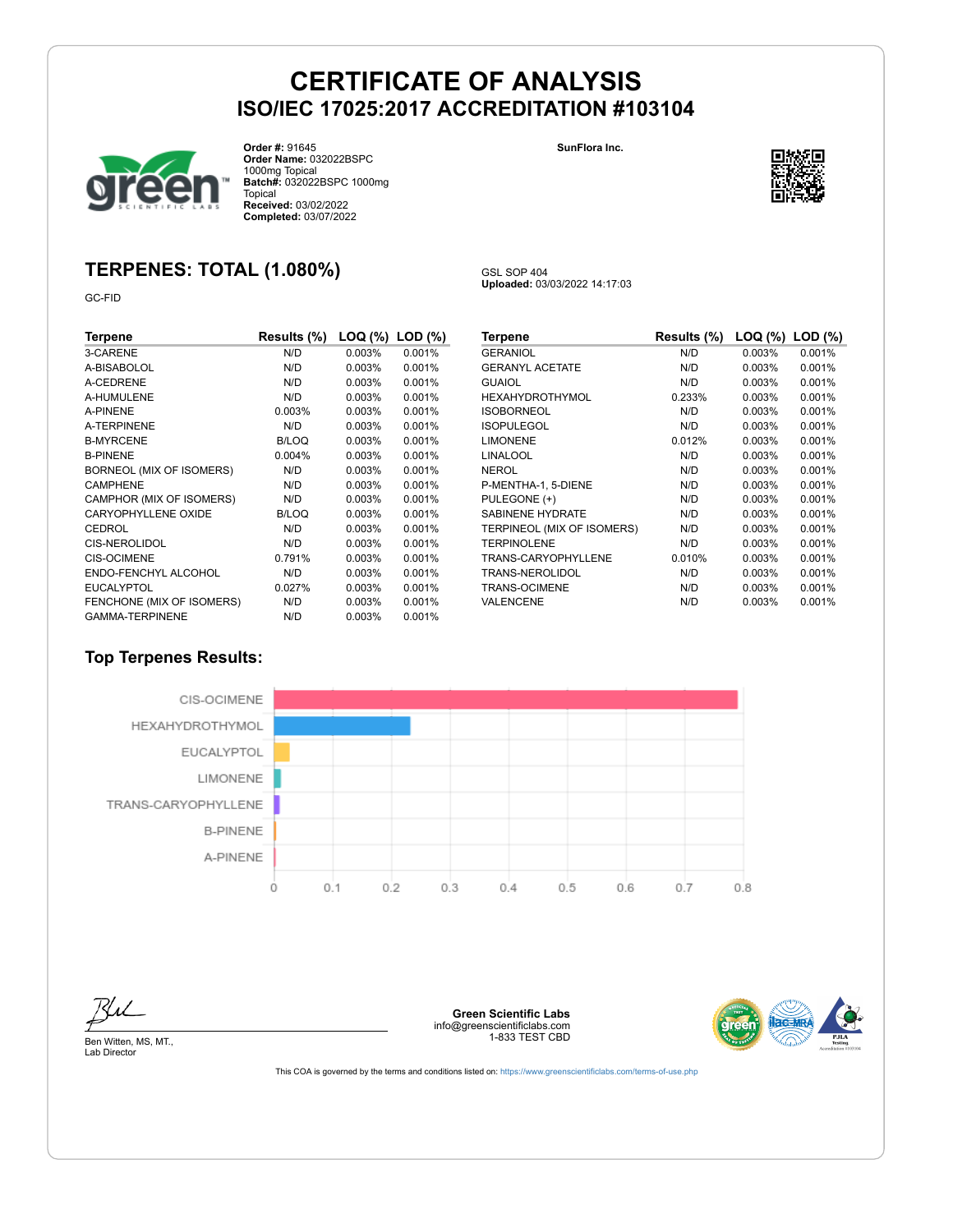GSL SOP 404

**Uploaded:** 03/03/2022 14:17:03



**Order #:** 91645 **Order Name:** 032022BSPC 1000mg Topical **Batch#:** 032022BSPC 1000mg Topical **Received:** 03/02/2022 **Completed:** 03/07/2022

**SunFlora Inc.**



# **TERPENES: TOTAL (1.080%)**

GC-FID

| Terpene                    | Results (%)  | LOQ (%) | $LOD$ $(\%)$ |
|----------------------------|--------------|---------|--------------|
| 3-CARENE                   | N/D          | 0.003%  | 0.001%       |
| A-BISABOLOL                | N/D          | 0.003%  | 0.001%       |
| A-CEDRENE                  | N/D          | 0.003%  | 0.001%       |
| A-HUMULENE                 | N/D          | 0.003%  | 0.001%       |
| A-PINENE                   | 0.003%       | 0.003%  | 0.001%       |
| A-TERPINENE                | N/D          | 0.003%  | 0.001%       |
| <b>B-MYRCENE</b>           | <b>B/LOQ</b> | 0.003%  | 0.001%       |
| <b>B-PINENE</b>            | 0.004%       | 0.003%  | 0.001%       |
| BORNEOL (MIX OF ISOMERS)   | N/D          | 0.003%  | 0.001%       |
| <b>CAMPHENE</b>            | N/D          | 0.003%  | 0.001%       |
| CAMPHOR (MIX OF ISOMERS)   | N/D          | 0.003%  | 0.001%       |
| <b>CARYOPHYLLENE OXIDE</b> | B/LOQ        | 0.003%  | 0.001%       |
| CEDROL                     | N/D          | 0.003%  | 0.001%       |
| <b>CIS-NEROLIDOL</b>       | N/D          | 0.003%  | 0.001%       |
| <b>CIS-OCIMENE</b>         | 0.791%       | 0.003%  | 0.001%       |
| ENDO-FENCHYL ALCOHOL       | N/D          | 0.003%  | 0.001%       |
| <b>EUCALYPTOL</b>          | 0.027%       | 0.003%  | 0.001%       |
| FENCHONE (MIX OF ISOMERS)  | N/D          | 0.003%  | 0.001%       |
| <b>GAMMA-TERPINENE</b>     | N/D          | 0.003%  | 0.001%       |

| Terpene                    | Results (%) | LOQ (%) | $LOD$ $(\%)$ |
|----------------------------|-------------|---------|--------------|
|                            |             |         |              |
| <b>GERANIOL</b>            | N/D         | 0.003%  | 0.001%       |
| <b>GERANYL ACETATE</b>     | N/D         | 0.003%  | 0.001%       |
| <b>GUAIOL</b>              | N/D         | 0.003%  | 0.001%       |
| HEXAHYDROTHYMOL            | 0.233%      | 0.003%  | 0.001%       |
| <b>ISOBORNEOL</b>          | N/D         | 0.003%  | 0.001%       |
| <b>ISOPULEGOL</b>          | N/D         | 0.003%  | 0.001%       |
| <b>LIMONENE</b>            | 0.012%      | 0.003%  | 0.001%       |
| LINALOOL                   | N/D         | 0.003%  | 0.001%       |
| NEROL                      | N/D         | 0.003%  | 0.001%       |
| P-MENTHA-1, 5-DIENE        | N/D         | 0.003%  | 0.001%       |
| PULEGONE (+)               | N/D         | 0.003%  | 0.001%       |
| <b>SABINENE HYDRATE</b>    | N/D         | 0.003%  | 0.001%       |
| TERPINEOL (MIX OF ISOMERS) | N/D         | 0.003%  | 0.001%       |
| <b>TERPINOLENE</b>         | N/D         | 0.003%  | 0.001%       |
| TRANS-CARYOPHYLLENE        | 0.010%      | 0.003%  | 0.001%       |
| TRANS-NEROLIDOL            | N/D         | 0.003%  | 0.001%       |
| TRANS-OCIMENE              | N/D         | 0.003%  | 0.001%       |
| VALENCENE                  | N/D         | 0.003%  | 0.001%       |

### **Top Terpenes Results:**



**Green Scientific Labs** info@greenscientificlabs.com 1-833 TEST CBD



Ben Witten, MS, MT., Lab Director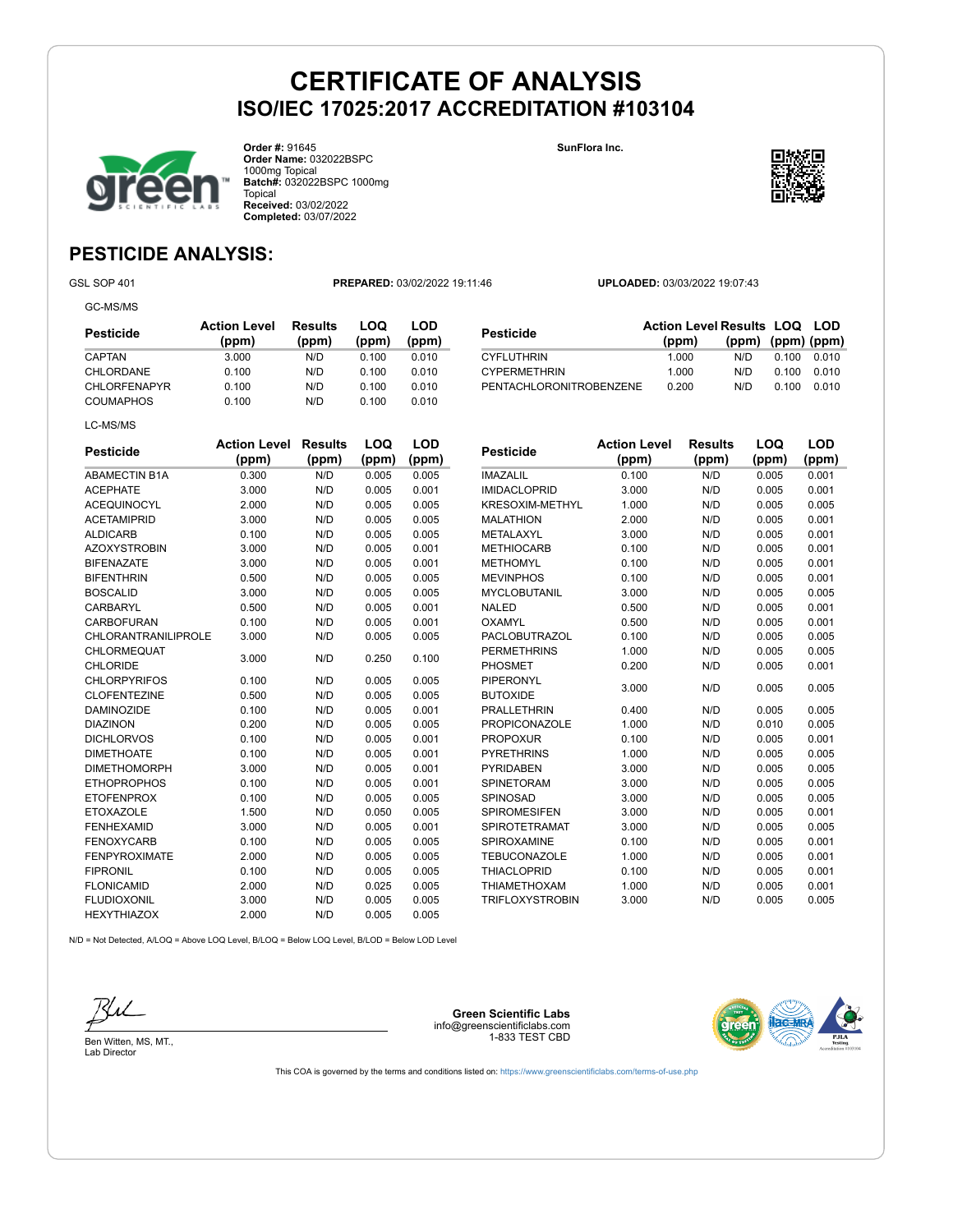



**Order #:** 91645 **Order Name:** 032022BSPC 1000mg Topical **Batch#:** 032022BSPC 1000mg Topical **Received:** 03/02/2022 **Completed:** 03/07/2022

#### **SunFlora Inc.**



**(ppm) (ppm) (ppm)**

### **PESTICIDE ANALYSIS:**

GC-MS/MS

GSL SOP 401 **PREPARED:** 03/02/2022 19:11:46 **UPLOADED:** 03/03/2022 19:07:43

**Pesticide Action Level Results LOQ LOD (ppm)**

CYFLUTHRIN 1.000 N/D 0.100 0.010<br>CYPERMETHRIN 1.000 N/D 0.100 0.010 CYPERMETHRIN 1.000 N/D 0.100 0.010 PENTACHLORONITROBENZENE 0.200 N/D 0.100 0.010

| Pesticide    | <b>Action Level</b><br>(ppm) | Results<br>(ppm) | LOQ<br>(ppm) | LOD<br>(ppm) |
|--------------|------------------------------|------------------|--------------|--------------|
| CAPTAN       | 3.000                        | N/D              | 0.100        | 0.010        |
| CHLORDANE    | 0.100                        | N/D              | 0.100        | 0.010        |
| CHLORFENAPYR | 0.100                        | N/D              | 0.100        | 0.010        |
| COUMAPHOS    | 0.100                        | N/D              | 0.100        | 0.010        |

| <b>Pesticide</b>                      | <b>Action Level</b><br>(ppm) | <b>Results</b><br>(ppm) | <b>LOQ</b><br>(ppm) | <b>LOD</b><br>(ppm) | <b>Pesticid</b>                 |
|---------------------------------------|------------------------------|-------------------------|---------------------|---------------------|---------------------------------|
| <b>ABAMECTIN B1A</b>                  | 0.300                        | N/D                     | 0.005               | 0.005               | <b>IMAZALIL</b>                 |
| <b>ACEPHATE</b>                       | 3.000                        | N/D                     | 0.005               | 0.001               | <b>IMIDACLO</b>                 |
| <b>ACEQUINOCYL</b>                    | 2.000                        | N/D                     | 0.005               | 0.005               | <b>KRESOXI</b>                  |
| <b>ACETAMIPRID</b>                    | 3.000                        | N/D                     | 0.005               | 0.005               | <b>MALATHI</b>                  |
| <b>ALDICARB</b>                       | 0.100                        | N/D                     | 0.005               | 0.005               | <b>METALAX</b>                  |
| <b>AZOXYSTROBIN</b>                   | 3.000                        | N/D                     | 0.005               | 0.001               | <b>METHIOC</b>                  |
| <b>BIFENAZATE</b>                     | 3.000                        | N/D                     | 0.005               | 0.001               | <b>METHOM</b>                   |
| <b>BIFENTHRIN</b>                     | 0.500                        | N/D                     | 0.005               | 0.005               | <b>MEVINPH</b>                  |
| <b>BOSCALID</b>                       | 3.000                        | N/D                     | 0.005               | 0.005               | <b>MYCLOBI</b>                  |
| <b>CARBARYL</b>                       | 0.500                        | N/D                     | 0.005               | 0.001               | <b>NALED</b>                    |
| <b>CARBOFURAN</b>                     | 0.100                        | N/D                     | 0.005               | 0.001               | <b>OXAMYL</b>                   |
| <b>CHLORANTRANILIPROLE</b>            | 3.000                        | N/D                     | 0.005               | 0.005               | <b>PACLOBL</b>                  |
| <b>CHLORMEQUAT</b><br><b>CHLORIDE</b> | 3.000                        | N/D                     | 0.250               | 0.100               | <b>PERMETI</b><br><b>PHOSME</b> |
| <b>CHLORPYRIFOS</b>                   | 0.100                        | N/D                     | 0.005               | 0.005               | PIPERON                         |
| <b>CLOFENTEZINE</b>                   | 0.500                        | N/D                     | 0.005               | 0.005               | <b>BUTOXID</b>                  |
| <b>DAMINOZIDE</b>                     | 0.100                        | N/D                     | 0.005               | 0.001               | <b>PRALLET</b>                  |
| <b>DIAZINON</b>                       | 0.200                        | N/D                     | 0.005               | 0.005               | <b>PROPICC</b>                  |
| <b>DICHLORVOS</b>                     | 0.100                        | N/D                     | 0.005               | 0.001               | <b>PROPOX</b>                   |
| <b>DIMETHOATE</b>                     | 0.100                        | N/D                     | 0.005               | 0.001               | <b>PYRETHF</b>                  |
| <b>DIMETHOMORPH</b>                   | 3.000                        | N/D                     | 0.005               | 0.001               | <b>PYRIDAB</b>                  |
| <b>ETHOPROPHOS</b>                    | 0.100                        | N/D                     | 0.005               | 0.001               | <b>SPINETO</b>                  |
| <b>ETOFENPROX</b>                     | 0.100                        | N/D                     | 0.005               | 0.005               | <b>SPINOSA</b>                  |
| <b>ETOXAZOLE</b>                      | 1.500                        | N/D                     | 0.050               | 0.005               | <b>SPIROME</b>                  |
| <b>FENHEXAMID</b>                     | 3.000                        | N/D                     | 0.005               | 0.001               | <b>SPIROTE</b>                  |
| <b>FENOXYCARB</b>                     | 0.100                        | N/D                     | 0.005               | 0.005               | <b>SPIROXA</b>                  |
| <b>FENPYROXIMATE</b>                  | 2.000                        | N/D                     | 0.005               | 0.005               | <b>TEBUCOI</b>                  |
| <b>FIPRONIL</b>                       | 0.100                        | N/D                     | 0.005               | 0.005               | <b>THIACLO</b>                  |
| <b>FLONICAMID</b>                     | 2.000                        | N/D                     | 0.025               | 0.005               | <b>THIAMET</b>                  |
| <b>FLUDIOXONIL</b>                    | 3.000                        | N/D                     | 0.005               | 0.005               | <b>TRIFLOX</b>                  |
| <b>HEXYTHIAZOX</b>                    | 2.000                        | N/D                     | 0.005               | 0.005               |                                 |

| Pesticide              | <b>Action Level</b><br>(ppm) | <b>Results</b><br>(ppm) | LOQ<br>(ppm) | <b>LOD</b><br>(ppm) |
|------------------------|------------------------------|-------------------------|--------------|---------------------|
| <b>IMAZALIL</b>        | 0.100                        | N/D                     | 0.005        | 0.001               |
| <b>IMIDACLOPRID</b>    | 3.000                        | N/D                     | 0.005        | 0.001               |
| <b>KRESOXIM-METHYL</b> | 1.000                        | N/D                     | 0.005        | 0.005               |
| <b>MALATHION</b>       | 2.000                        | N/D                     | 0.005        | 0.001               |
| METALAXYL              | 3.000                        | N/D                     | 0.005        | 0.001               |
| <b>METHIOCARB</b>      | 0.100                        | N/D                     | 0.005        | 0.001               |
| <b>METHOMYL</b>        | 0.100                        | N/D                     | 0.005        | 0.001               |
| <b>MEVINPHOS</b>       | 0.100                        | N/D                     | 0.005        | 0.001               |
| MYCLOBUTANIL           | 3.000                        | N/D                     | 0.005        | 0.005               |
| <b>NALED</b>           | 0.500                        | N/D                     | 0.005        | 0.001               |
| OXAMYL                 | 0.500                        | N/D                     | 0.005        | 0.001               |
| <b>PACLOBUTRAZOL</b>   | 0.100                        | N/D                     | 0.005        | 0.005               |
| <b>PERMETHRINS</b>     | 1.000                        | N/D                     | 0.005        | 0.005               |
| <b>PHOSMET</b>         | 0.200                        | N/D                     | 0.005        | 0.001               |
| PIPERONYL              | 3.000                        | N/D                     | 0.005        | 0.005               |
| <b>BUTOXIDE</b>        |                              |                         |              |                     |
| <b>PRALLETHRIN</b>     | 0.400                        | N/D                     | 0.005        | 0.005               |
| <b>PROPICONAZOLE</b>   | 1.000                        | N/D                     | 0.010        | 0.005               |
| <b>PROPOXUR</b>        | 0.100                        | N/D                     | 0.005        | 0.001               |
| <b>PYRETHRINS</b>      | 1.000                        | N/D                     | 0.005        | 0.005               |
| <b>PYRIDABEN</b>       | 3.000                        | N/D                     | 0.005        | 0.005               |
| SPINETORAM             | 3.000                        | N/D                     | 0.005        | 0.005               |
| SPINOSAD               | 3.000                        | N/D                     | 0.005        | 0.005               |
| <b>SPIROMESIFEN</b>    | 3.000                        | N/D                     | 0.005        | 0.001               |
| <b>SPIROTETRAMAT</b>   | 3.000                        | N/D                     | 0.005        | 0.005               |
| <b>SPIROXAMINE</b>     | 0.100                        | N/D                     | 0.005        | 0.001               |
| <b>TEBUCONAZOLE</b>    | 1.000                        | N/D                     | 0.005        | 0.001               |
| <b>THIACLOPRID</b>     | 0.100                        | N/D                     | 0.005        | 0.001               |
| <b>THIAMETHOXAM</b>    | 1.000                        | N/D                     | 0.005        | 0.001               |
| <b>TRIFLOXYSTROBIN</b> | 3.000                        | N/D                     | 0.005        | 0.005               |

N/D = Not Detected, A/LOQ = Above LOQ Level, B/LOQ = Below LOQ Level, B/LOD = Below LOD Level



Ben Witten, MS, MT., Lab Director

**Green Scientific Labs** info@greenscientificlabs.com 1-833 TEST CBD

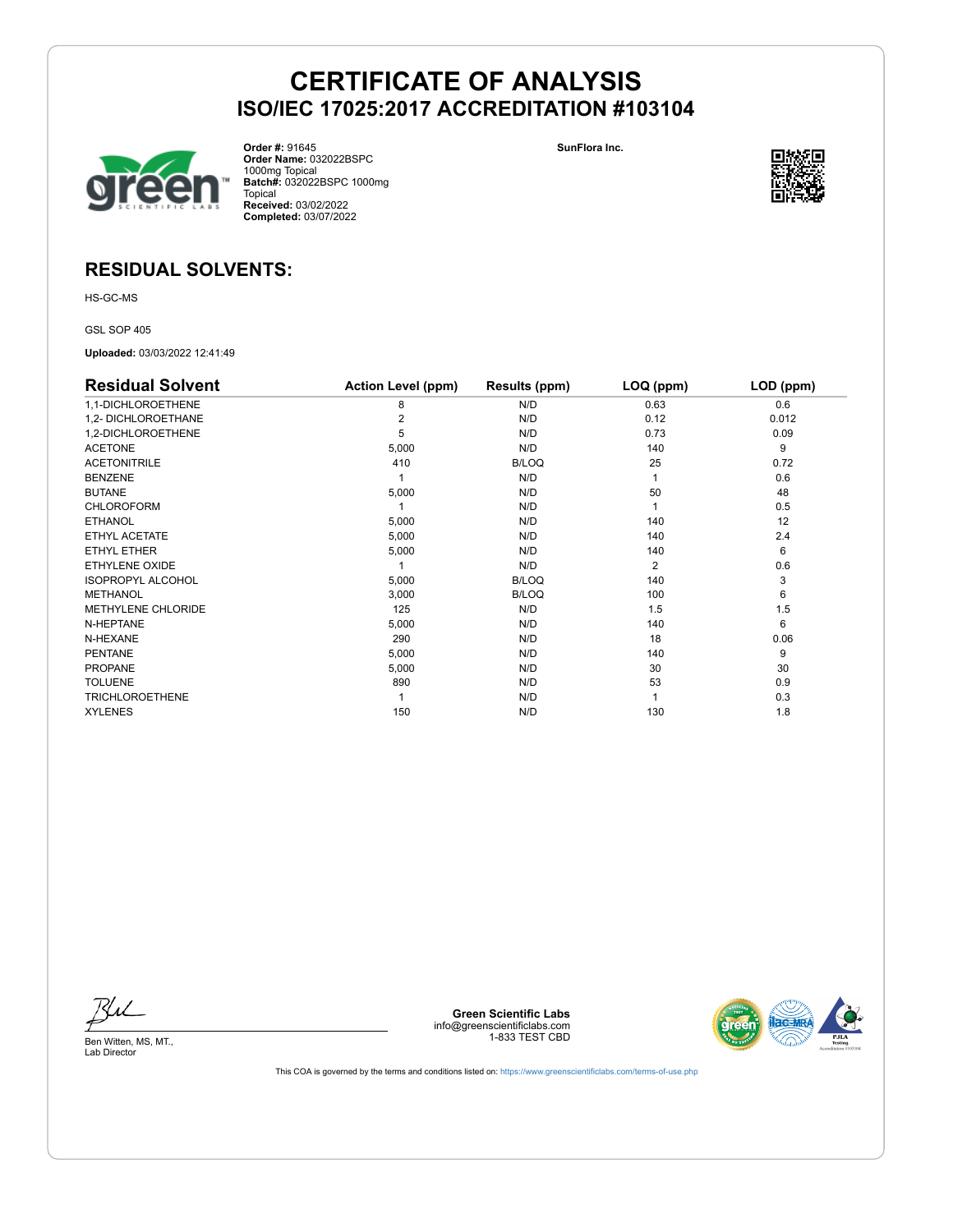

**Order #:** 91645 **Order Name:** 032022BSPC 1000mg Topical **Batch#:** 032022BSPC 1000mg Topical **Received:** 03/02/2022 **Completed:** 03/07/2022

**SunFlora Inc.**



### **RESIDUAL SOLVENTS:**

HS-GC-MS

GSL SOP 405

**Uploaded:** 03/03/2022 12:41:49

| <b>Residual Solvent</b>   | <b>Action Level (ppm)</b> | Results (ppm) | LOQ (ppm)      | LOD (ppm) |
|---------------------------|---------------------------|---------------|----------------|-----------|
| 1,1-DICHLOROETHENE        | 8                         | N/D           | 0.63           | 0.6       |
| 1,2- DICHLOROETHANE       |                           | N/D           | 0.12           | 0.012     |
| 1,2-DICHLOROETHENE        | 5                         | N/D           | 0.73           | 0.09      |
| <b>ACETONE</b>            | 5,000                     | N/D           | 140            | 9         |
| <b>ACETONITRILE</b>       | 410                       | <b>B/LOQ</b>  | 25             | 0.72      |
| <b>BENZENE</b>            |                           | N/D           |                | 0.6       |
| <b>BUTANE</b>             | 5,000                     | N/D           | 50             | 48        |
| <b>CHLOROFORM</b>         |                           | N/D           |                | 0.5       |
| <b>ETHANOL</b>            | 5,000                     | N/D           | 140            | 12        |
| ETHYL ACETATE             | 5,000                     | N/D           | 140            | 2.4       |
| ETHYL ETHER               | 5,000                     | N/D           | 140            | 6         |
| ETHYLENE OXIDE            |                           | N/D           | $\overline{2}$ | 0.6       |
| <b>ISOPROPYL ALCOHOL</b>  | 5,000                     | B/LOQ         | 140            | 3         |
| <b>METHANOL</b>           | 3,000                     | <b>B/LOQ</b>  | 100            | 6         |
| <b>METHYLENE CHLORIDE</b> | 125                       | N/D           | 1.5            | 1.5       |
| N-HEPTANE                 | 5,000                     | N/D           | 140            | 6         |
| N-HEXANE                  | 290                       | N/D           | 18             | 0.06      |
| PENTANE                   | 5,000                     | N/D           | 140            | 9         |
| <b>PROPANE</b>            | 5,000                     | N/D           | 30             | 30        |
| <b>TOLUENE</b>            | 890                       | N/D           | 53             | 0.9       |
| <b>TRICHLOROETHENE</b>    |                           | N/D           |                | 0.3       |
| <b>XYLENES</b>            | 150                       | N/D           | 130            | 1.8       |

Ku

**Green Scientific Labs** info@greenscientificlabs.com 1-833 TEST CBD



Ben Witten, MS, MT., Lab Director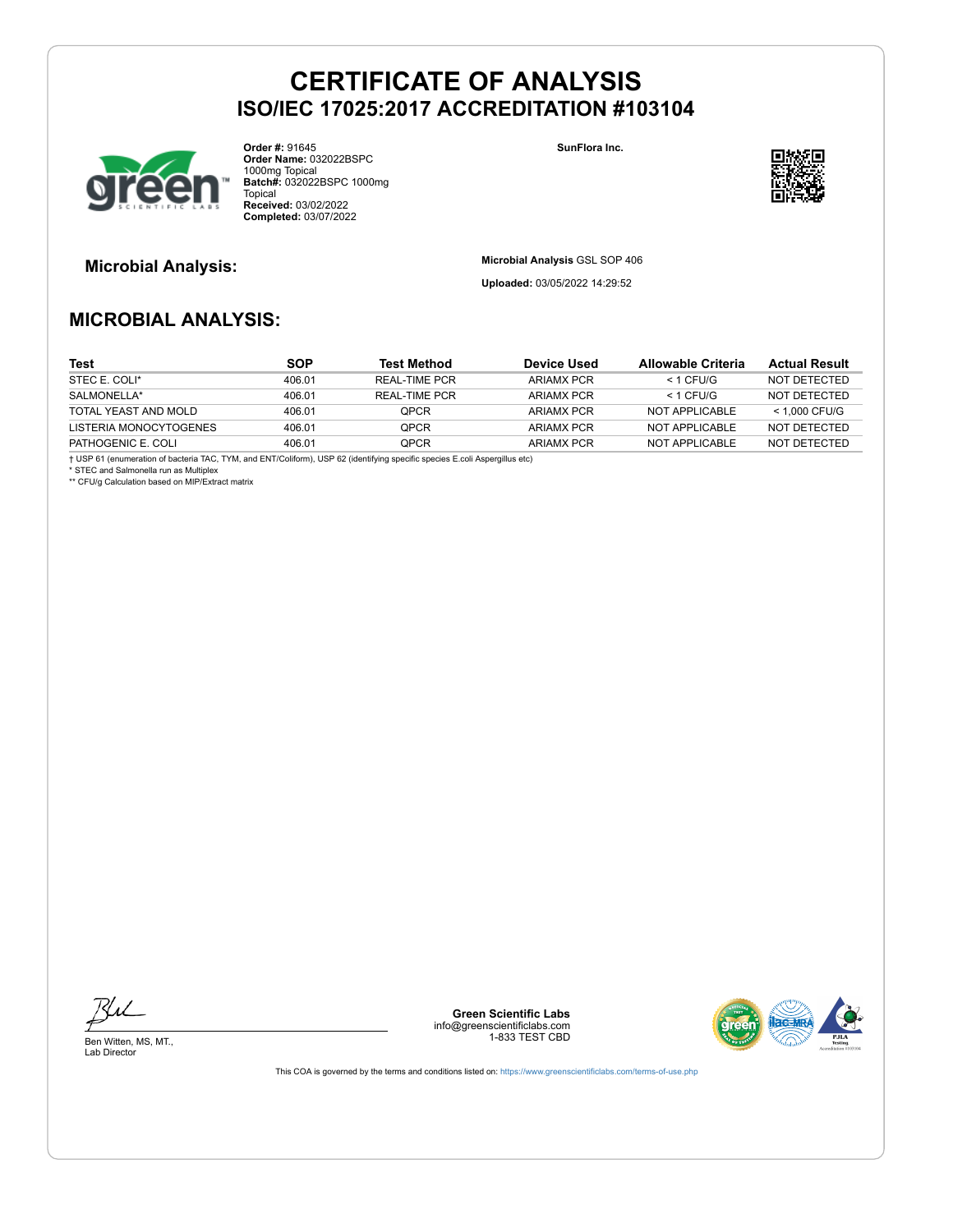

**Order #:** 91645 **Order Name:** 032022BSPC 1000mg Topical **Batch#:** 032022BSPC 1000mg Topical **Received:** 03/02/2022 **Completed:** 03/07/2022

**SunFlora Inc.**



**Microbial Analysis: Microbial Analysis** GSL SOP 406

**Uploaded:** 03/05/2022 14:29:52

### **MICROBIAL ANALYSIS:**

| Test                   | <b>SOP</b> | <b>Test Method</b> | <b>Device Used</b> | Allowable Criteria | <b>Actual Result</b> |
|------------------------|------------|--------------------|--------------------|--------------------|----------------------|
| STEC E. COLI*          | 406.01     | REAL-TIME PCR      | ARIAMX PCR         | $<$ 1 CFU/G        | NOT DETECTED         |
| SALMONELLA*            | 406.01     | REAL-TIME PCR      | ARIAMX PCR         | $<$ 1 CFU/G        | NOT DETECTED         |
| TOTAL YEAST AND MOLD   | 406.01     | <b>OPCR</b>        | ARIAMX PCR         | NOT APPLICABLE     | $<$ 1.000 CFU/G      |
| LISTERIA MONOCYTOGENES | 406.01     | <b>OPCR</b>        | ARIAMX PCR         | NOT APPLICARLE     | NOT DETECTED         |
| PATHOGENIC E. COLI     | 406.01     | <b>OPCR</b>        | ARIAMX PCR         | NOT APPLICABLE     | NOT DETECTED         |

† USP 61 (enumeration of bacteria TAC, TYM, and ENT/Coliform), USP 62 (identifying specific species E.coli Aspergillus etc)

\* STEC and Salmonella run as Multiplex \*\* CFU/g Calculation based on MIP/Extract matrix

Ben Witten, MS, MT., Lab Director

**Green Scientific Labs** info@greenscientificlabs.com 1-833 TEST CBD